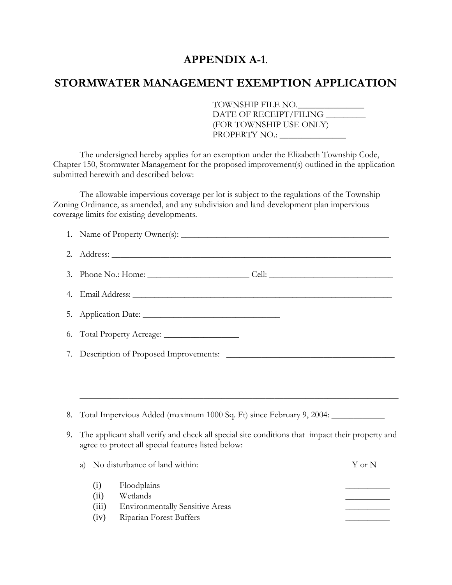## **APPENDIX A-1.**

## **STORMWATER MANAGEMENT EXEMPTION APPLICATION**

TOWNSHIP FILE NO.\_\_\_\_\_\_\_\_\_\_\_\_\_\_\_ DATE OF RECEIPT/FILING \_\_\_\_\_\_\_\_\_ (FOR TOWNSHIP USE ONLY) PROPERTY NO.: \_\_\_\_\_\_\_\_\_\_\_\_\_\_\_

The undersigned hereby applies for an exemption under the Elizabeth Township Code, Chapter 150, Stormwater Management for the proposed improvement(s) outlined in the application submitted herewith and described below:

The allowable impervious coverage per lot is subject to the regulations of the Township Zoning Ordinance, as amended, and any subdivision and land development plan impervious coverage limits for existing developments.

| 2. |                                                                                                                                                        |                                   |  |
|----|--------------------------------------------------------------------------------------------------------------------------------------------------------|-----------------------------------|--|
| 3. |                                                                                                                                                        |                                   |  |
| 4. |                                                                                                                                                        |                                   |  |
| 5. |                                                                                                                                                        |                                   |  |
| 6. |                                                                                                                                                        |                                   |  |
| 7. |                                                                                                                                                        |                                   |  |
|    |                                                                                                                                                        |                                   |  |
|    |                                                                                                                                                        |                                   |  |
| 8. | Total Impervious Added (maximum 1000 Sq. Ft) since February 9, 2004: ___________                                                                       |                                   |  |
| 9. | The applicant shall verify and check all special site conditions that impact their property and<br>agree to protect all special features listed below: |                                   |  |
|    | No disturbance of land within:<br>a)                                                                                                                   | Y or N                            |  |
|    | (i)<br>Floodplains<br>Wetlands<br>(ii)<br><b>Environmentally Sensitive Areas</b><br>(iii)<br>Riparian Forest Buffers<br>(iv)                           | the control of the control of the |  |